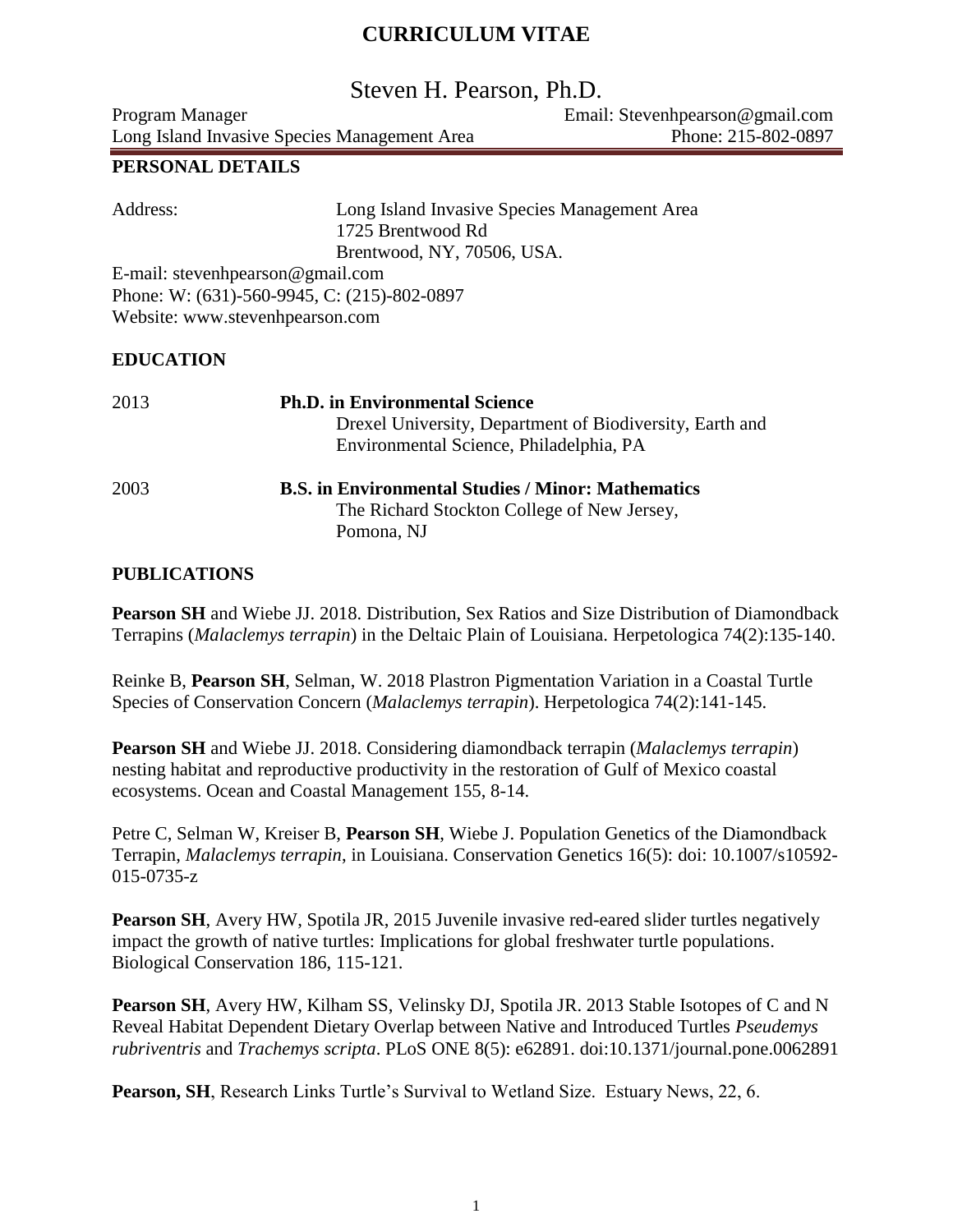#### Steven H. Pearson, Ph.D.

Program Manager **Email:** Stevenhpearson@gmail.com Long Island Invasive Species Management Area Phone: 215-802-0897

#### **PERSONAL DETAILS**

Address: Long Island Invasive Species Management Area 1725 Brentwood Rd Brentwood, NY, 70506, USA. E-mail: stevenhpearson@gmail.com Phone: W: (631)-560-9945, C: (215)-802-0897 Website: www.stevenhpearson.com

#### **EDUCATION**

| 2013 | <b>Ph.D.</b> in Environmental Science                     |
|------|-----------------------------------------------------------|
|      | Drexel University, Department of Biodiversity, Earth and  |
|      | Environmental Science, Philadelphia, PA                   |
| 2003 | <b>B.S.</b> in Environmental Studies / Minor: Mathematics |
|      | The Richard Stockton College of New Jersey,               |
|      | Pomona, NJ                                                |

#### **PUBLICATIONS**

**Pearson SH** and Wiebe JJ. 2018. Distribution, Sex Ratios and Size Distribution of Diamondback Terrapins (*Malaclemys terrapin*) in the Deltaic Plain of Louisiana. Herpetologica 74(2):135-140.

Reinke B, **Pearson SH**, Selman, W. 2018 Plastron Pigmentation Variation in a Coastal Turtle Species of Conservation Concern (*Malaclemys terrapin*). Herpetologica 74(2):141-145.

**Pearson SH** and Wiebe JJ. 2018. Considering [diamondback](https://docs.wixstatic.com/ugd/715cb1_b30a96fbb92f4b399052699475abb78b.pdf) terrapin (*Malaclemys terrapin*) nesting habitat and [reproductive](https://docs.wixstatic.com/ugd/715cb1_b30a96fbb92f4b399052699475abb78b.pdf) productivity in the restoration of Gulf of Mexico coastal ecosystems. Ocean and Coastal [Management](https://docs.wixstatic.com/ugd/715cb1_b30a96fbb92f4b399052699475abb78b.pdf) 155, 8-14.

Petre C, Selman W, Kreiser B, **Pearson SH**, Wiebe J. Population Genetics of the Diamondback Terrapin, *Malaclemys terrapin*, in Louisiana. Conservation Genetics 16(5): doi: 10.1007/s10592- 015-0735-z

**Pearson SH**, Avery HW, Spotila JR, 2015 Juvenile invasive red-eared slider turtles negatively impact the growth of native turtles: Implications for global freshwater turtle populations. Biological Conservation 186, 115-121.

**Pearson SH**, Avery HW, Kilham SS, Velinsky DJ, Spotila JR. 2013 Stable Isotopes of C and N Reveal Habitat Dependent Dietary Overlap between Native and Introduced Turtles *Pseudemys rubriventris* and *Trachemys scripta*. PLoS ONE 8(5): e62891. doi:10.1371/journal.pone.0062891

**Pearson, SH**, Research Links Turtle's Survival to Wetland Size. Estuary News, 22, 6.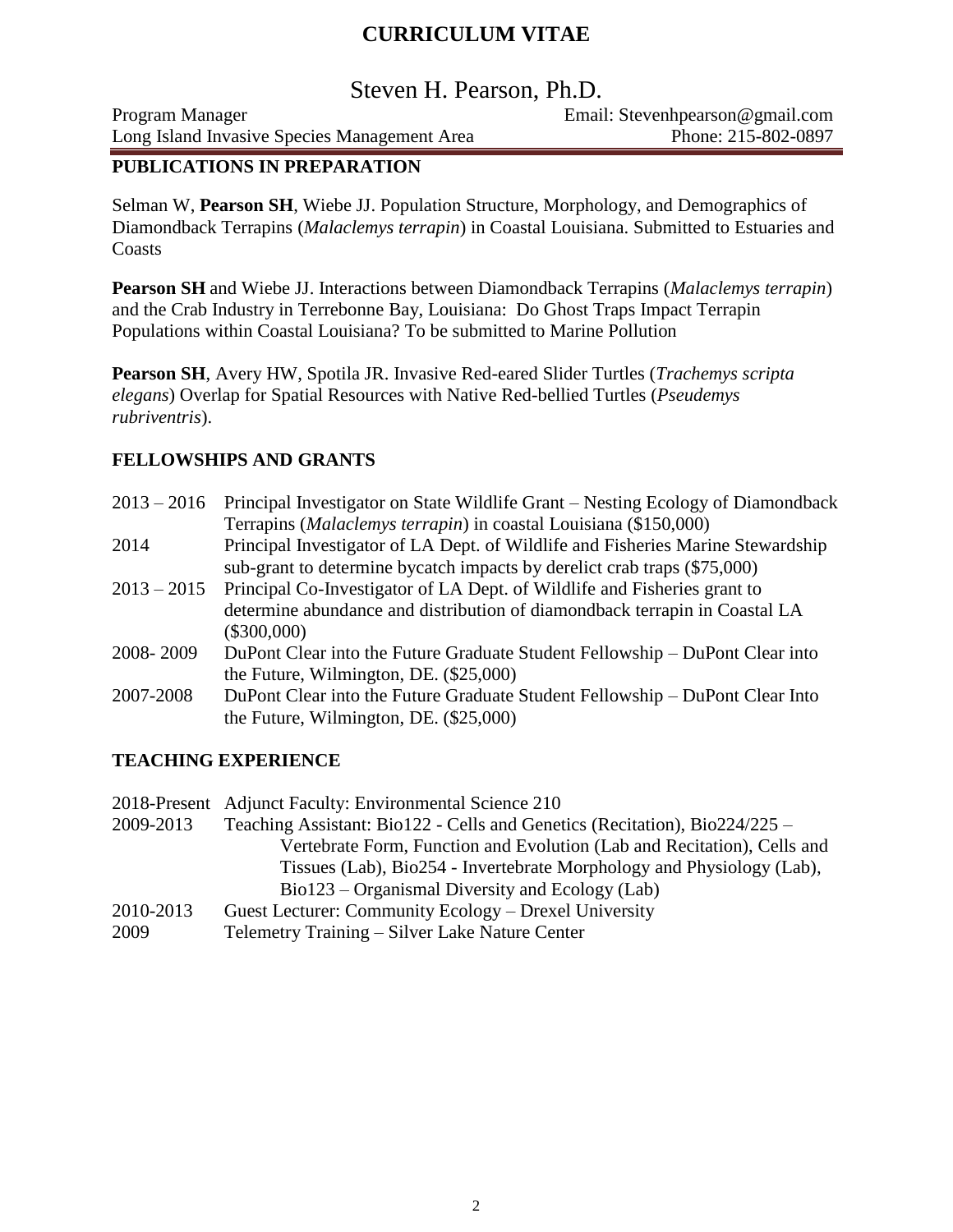#### Steven H. Pearson, Ph.D.

Program Manager Email: Stevenhpearson@gmail.com Long Island Invasive Species Management Area Phone: 215-802-0897

#### **PUBLICATIONS IN PREPARATION**

Selman W, **Pearson SH**, Wiebe JJ. Population Structure, Morphology, and Demographics of Diamondback Terrapins (*Malaclemys terrapin*) in Coastal Louisiana. Submitted to Estuaries and **Coasts** 

**Pearson SH** and Wiebe JJ. Interactions between Diamondback Terrapins (*Malaclemys terrapin*) and the Crab Industry in Terrebonne Bay, Louisiana: Do Ghost Traps Impact Terrapin Populations within Coastal Louisiana? To be submitted to Marine Pollution

**Pearson SH**, Avery HW, Spotila JR. Invasive Red-eared Slider Turtles (*Trachemys scripta elegans*) Overlap for Spatial Resources with Native Red-bellied Turtles (*Pseudemys rubriventris*).

#### **FELLOWSHIPS AND GRANTS**

| $2013 - 2016$ | Principal Investigator on State Wildlife Grant – Nesting Ecology of Diamondback |
|---------------|---------------------------------------------------------------------------------|
|               | Terrapins ( <i>Malaclemys terrapin</i> ) in coastal Louisiana (\$150,000)       |
| 2014          | Principal Investigator of LA Dept. of Wildlife and Fisheries Marine Stewardship |
|               | sub-grant to determine by catch impacts by derelict crab traps (\$75,000)       |
| $2013 - 2015$ | Principal Co-Investigator of LA Dept. of Wildlife and Fisheries grant to        |
|               | determine abundance and distribution of diamondback terrapin in Coastal LA      |
|               | $(\$300,000)$                                                                   |
| 2008-2009     | DuPont Clear into the Future Graduate Student Fellowship – DuPont Clear into    |
|               | the Future, Wilmington, DE. (\$25,000)                                          |
| 2007-2008     | DuPont Clear into the Future Graduate Student Fellowship - DuPont Clear Into    |
|               | the Future, Wilmington, DE. (\$25,000)                                          |

#### **TEACHING EXPERIENCE**

|                                                                                         | 2018-Present Adjunct Faculty: Environmental Science 210                 |
|-----------------------------------------------------------------------------------------|-------------------------------------------------------------------------|
| 2009-2013<br>Teaching Assistant: Bio122 - Cells and Genetics (Recitation), Bio224/225 - |                                                                         |
|                                                                                         | Vertebrate Form, Function and Evolution (Lab and Recitation), Cells and |
|                                                                                         | Tissues (Lab), Bio254 - Invertebrate Morphology and Physiology (Lab),   |
|                                                                                         | $Bio123 – Organismal Diversity and Ecology (Lab)$                       |
| 2010-2013                                                                               | Guest Lecturer: Community Ecology – Drexel University                   |
| 2009                                                                                    | Telemetry Training - Silver Lake Nature Center                          |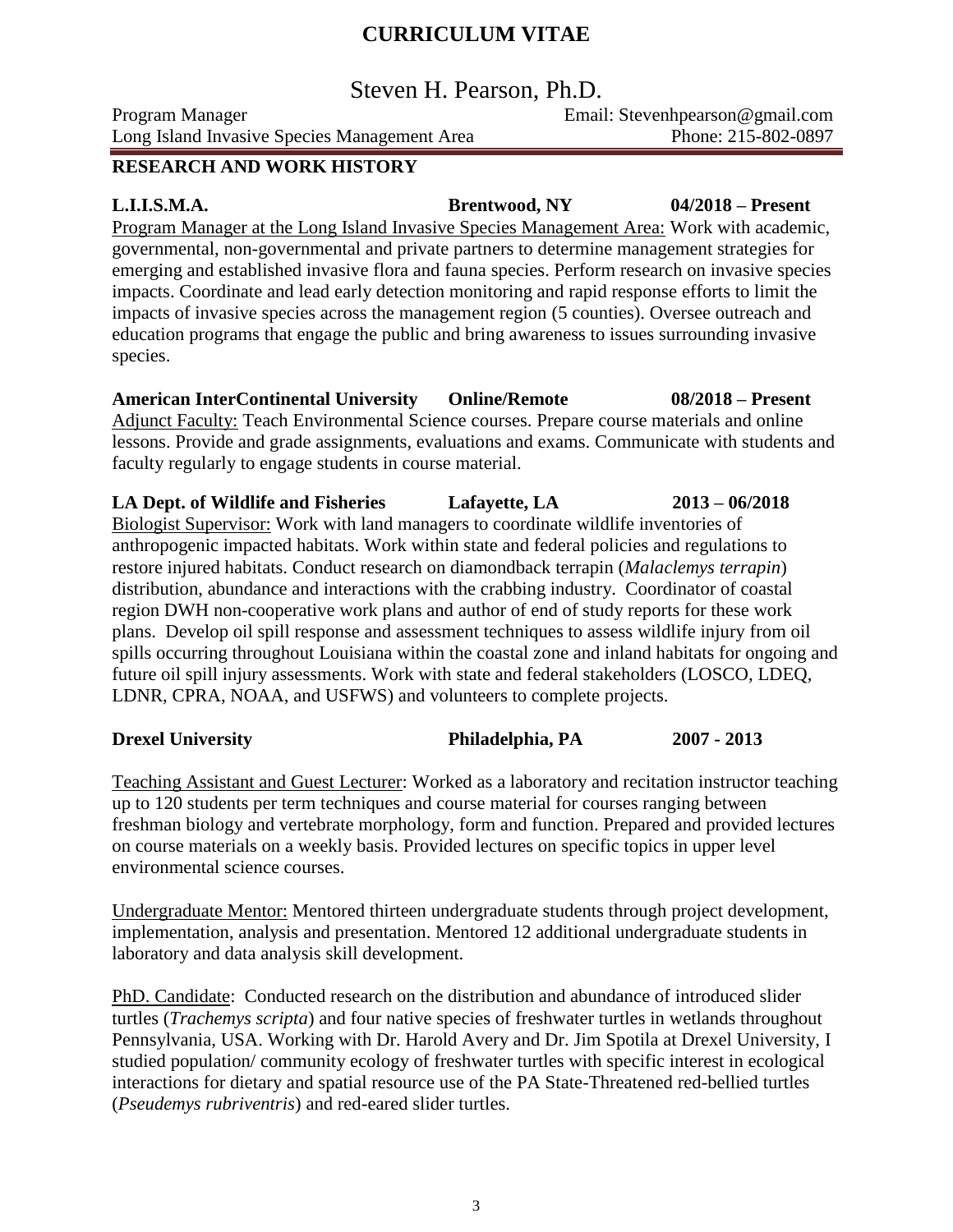# Steven H. Pearson, Ph.D.

Program Manager Email: Stevenhpearson@gmail.com Long Island Invasive Species Management Area Phone: 215-802-0897

#### **RESEARCH AND WORK HISTORY**

Program Manager at the Long Island Invasive Species Management Area: Work with academic, governmental, non-governmental and private partners to determine management strategies for emerging and established invasive flora and fauna species. Perform research on invasive species impacts. Coordinate and lead early detection monitoring and rapid response efforts to limit the impacts of invasive species across the management region (5 counties). Oversee outreach and education programs that engage the public and bring awareness to issues surrounding invasive species.

#### **American InterContinental University Online/Remote 08/2018 – Present** Adjunct Faculty: Teach Environmental Science courses. Prepare course materials and online lessons. Provide and grade assignments, evaluations and exams. Communicate with students and faculty regularly to engage students in course material.

**LA Dept. of Wildlife and Fisheries Lafayette, LA 2013 – 06/2018** Biologist Supervisor: Work with land managers to coordinate wildlife inventories of anthropogenic impacted habitats. Work within state and federal policies and regulations to restore injured habitats. Conduct research on diamondback terrapin (*Malaclemys terrapin*) distribution, abundance and interactions with the crabbing industry. Coordinator of coastal region DWH non-cooperative work plans and author of end of study reports for these work plans. Develop oil spill response and assessment techniques to assess wildlife injury from oil spills occurring throughout Louisiana within the coastal zone and inland habitats for ongoing and future oil spill injury assessments. Work with state and federal stakeholders (LOSCO, LDEQ, LDNR, CPRA, NOAA, and USFWS) and volunteers to complete projects.

#### **Drexel University Philadelphia, PA 2007 - 2013**

Teaching Assistant and Guest Lecturer: Worked as a laboratory and recitation instructor teaching up to 120 students per term techniques and course material for courses ranging between freshman biology and vertebrate morphology, form and function. Prepared and provided lectures on course materials on a weekly basis. Provided lectures on specific topics in upper level environmental science courses.

Undergraduate Mentor: Mentored thirteen undergraduate students through project development, implementation, analysis and presentation. Mentored 12 additional undergraduate students in laboratory and data analysis skill development.

PhD. Candidate: Conducted research on the distribution and abundance of introduced slider turtles (*Trachemys scripta*) and four native species of freshwater turtles in wetlands throughout Pennsylvania, USA. Working with Dr. Harold Avery and Dr. Jim Spotila at Drexel University, I studied population/ community ecology of freshwater turtles with specific interest in ecological interactions for dietary and spatial resource use of the PA State-Threatened red-bellied turtles (*Pseudemys rubriventris*) and red-eared slider turtles.

**L.I.I.S.M.A. Brentwood, NY 04/2018 – Present**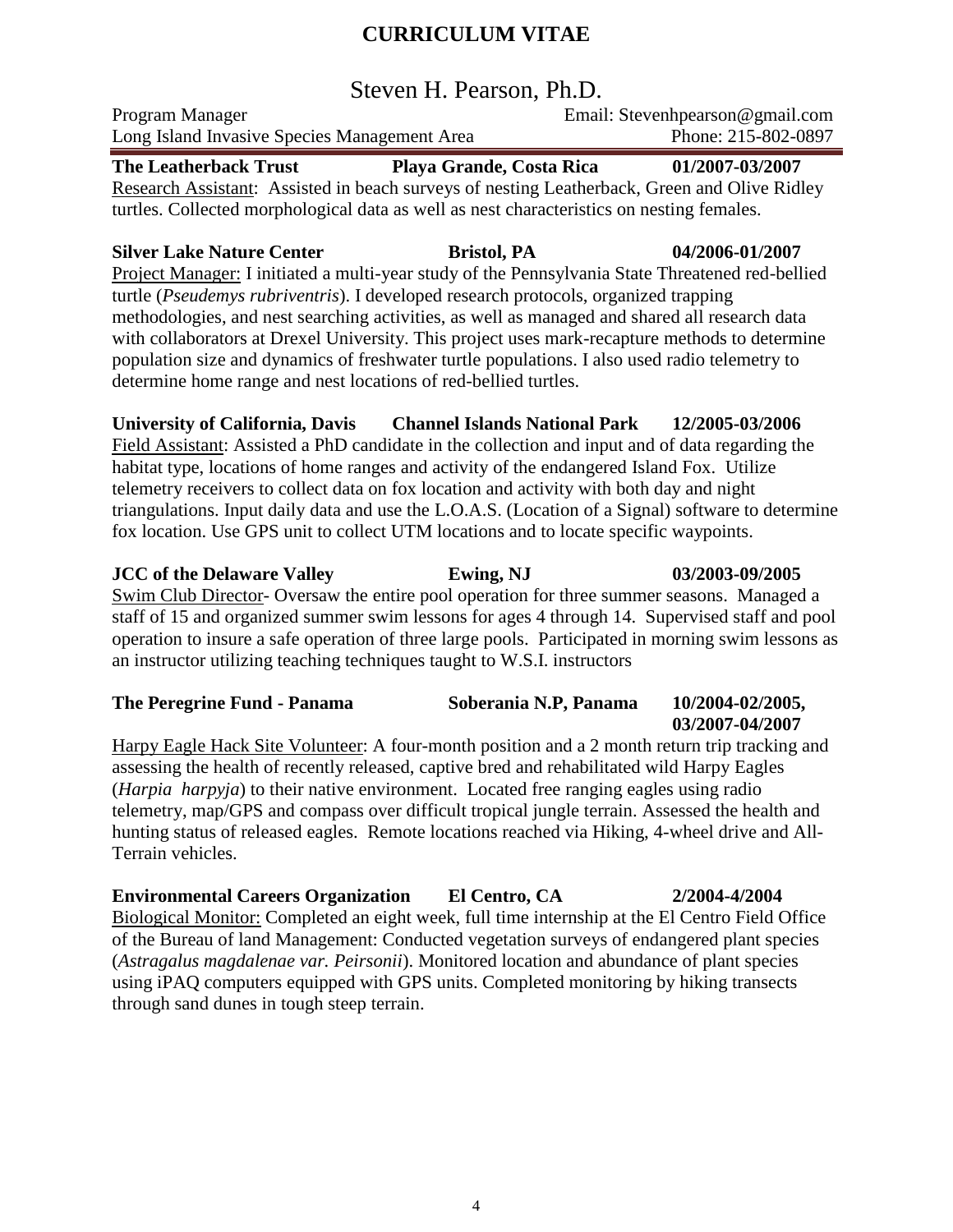4

# **CURRICULUM VITAE**

# Steven H. Pearson, Ph.D.

Program Manager Email: Stevenhpearson@gmail.com Long Island Invasive Species Management Area Phone: 215-802-0897

**The Leatherback Trust Playa Grande, Costa Rica 01/2007-03/2007** Research Assistant: Assisted in beach surveys of nesting Leatherback, Green and Olive Ridley turtles. Collected morphological data as well as nest characteristics on nesting females.

**Silver Lake Nature Center Bristol, PA 04/2006-01/2007** Project Manager: I initiated a multi-year study of the Pennsylvania State Threatened red-bellied turtle (*Pseudemys rubriventris*). I developed research protocols, organized trapping methodologies, and nest searching activities, as well as managed and shared all research data with collaborators at Drexel University. This project uses mark-recapture methods to determine population size and dynamics of freshwater turtle populations. I also used radio telemetry to determine home range and nest locations of red-bellied turtles.

## **University of California, Davis Channel Islands National Park 12/2005-03/2006**

Field Assistant: Assisted a PhD candidate in the collection and input and of data regarding the habitat type, locations of home ranges and activity of the endangered Island Fox. Utilize telemetry receivers to collect data on fox location and activity with both day and night triangulations. Input daily data and use the L.O.A.S. (Location of a Signal) software to determine fox location. Use GPS unit to collect UTM locations and to locate specific waypoints.

# **JCC of the Delaware Valley Ewing, NJ 03/2003-09/2005**

Swim Club Director- Oversaw the entire pool operation for three summer seasons. Managed a staff of 15 and organized summer swim lessons for ages 4 through 14. Supervised staff and pool operation to insure a safe operation of three large pools. Participated in morning swim lessons as an instructor utilizing teaching techniques taught to W.S.I. instructors

#### **The Peregrine Fund - Panama Soberania N.P, Panama 10/2004-02/2005, 03/2007-04/2007**

Harpy Eagle Hack Site Volunteer: A four-month position and a 2 month return trip tracking and assessing the health of recently released, captive bred and rehabilitated wild Harpy Eagles (*Harpia harpyja*) to their native environment. Located free ranging eagles using radio telemetry, map/GPS and compass over difficult tropical jungle terrain. Assessed the health and hunting status of released eagles. Remote locations reached via Hiking, 4-wheel drive and All-Terrain vehicles.

**Environmental Careers Organization El Centro, CA 2/2004-4/2004** Biological Monitor: Completed an eight week, full time internship at the El Centro Field Office of the Bureau of land Management: Conducted vegetation surveys of endangered plant species (*Astragalus magdalenae var. Peirsonii*). Monitored location and abundance of plant species using iPAQ computers equipped with GPS units. Completed monitoring by hiking transects through sand dunes in tough steep terrain.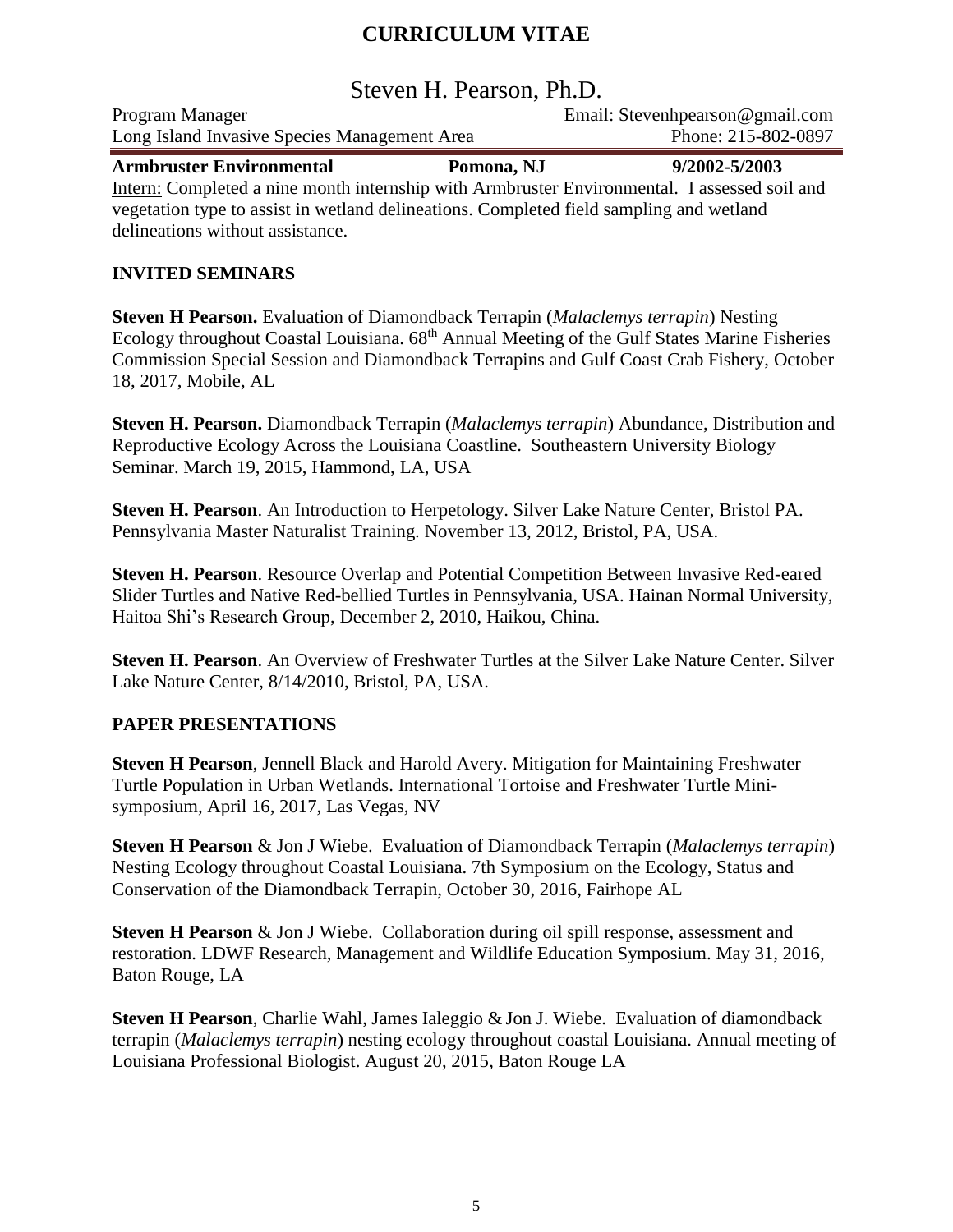## Steven H. Pearson, Ph.D.

Program Manager Email: Stevenhpearson@gmail.com Long Island Invasive Species Management Area Phone: 215-802-0897 **Armbruster Environmental Pomona, NJ 9/2002-5/2003**

Intern: Completed a nine month internship with Armbruster Environmental. I assessed soil and vegetation type to assist in wetland delineations. Completed field sampling and wetland delineations without assistance.

#### **INVITED SEMINARS**

**Steven H Pearson.** Evaluation of Diamondback Terrapin (*Malaclemys terrapin*) Nesting Ecology throughout Coastal Louisiana. 68<sup>th</sup> Annual Meeting of the Gulf States Marine Fisheries Commission Special Session and Diamondback Terrapins and Gulf Coast Crab Fishery, October 18, 2017, Mobile, AL

**Steven H. Pearson.** Diamondback Terrapin (*Malaclemys terrapin*) Abundance, Distribution and Reproductive Ecology Across the Louisiana Coastline. Southeastern University Biology Seminar. March 19, 2015, Hammond, LA, USA

**Steven H. Pearson**. An Introduction to Herpetology. Silver Lake Nature Center, Bristol PA. Pennsylvania Master Naturalist Training. November 13, 2012, Bristol, PA, USA.

**Steven H. Pearson**. Resource Overlap and Potential Competition Between Invasive Red-eared Slider Turtles and Native Red-bellied Turtles in Pennsylvania, USA. Hainan Normal University, Haitoa Shi's Research Group, December 2, 2010, Haikou, China.

**Steven H. Pearson**. An Overview of Freshwater Turtles at the Silver Lake Nature Center. Silver Lake Nature Center, 8/14/2010, Bristol, PA, USA.

#### **PAPER PRESENTATIONS**

**Steven H Pearson**, Jennell Black and Harold Avery. Mitigation for Maintaining Freshwater Turtle Population in Urban Wetlands. International Tortoise and Freshwater Turtle Minisymposium, April 16, 2017, Las Vegas, NV

**Steven H Pearson** & Jon J Wiebe. Evaluation of Diamondback Terrapin (*Malaclemys terrapin*) Nesting Ecology throughout Coastal Louisiana. 7th Symposium on the Ecology, Status and Conservation of the Diamondback Terrapin, October 30, 2016, Fairhope AL

**Steven H Pearson** & Jon J Wiebe. Collaboration during oil spill response, assessment and restoration. LDWF Research, Management and Wildlife Education Symposium. May 31, 2016, Baton Rouge, LA

**Steven H Pearson**, Charlie Wahl, James Ialeggio & Jon J. Wiebe. Evaluation of diamondback terrapin (*Malaclemys terrapin*) nesting ecology throughout coastal Louisiana. Annual meeting of Louisiana Professional Biologist. August 20, 2015, Baton Rouge LA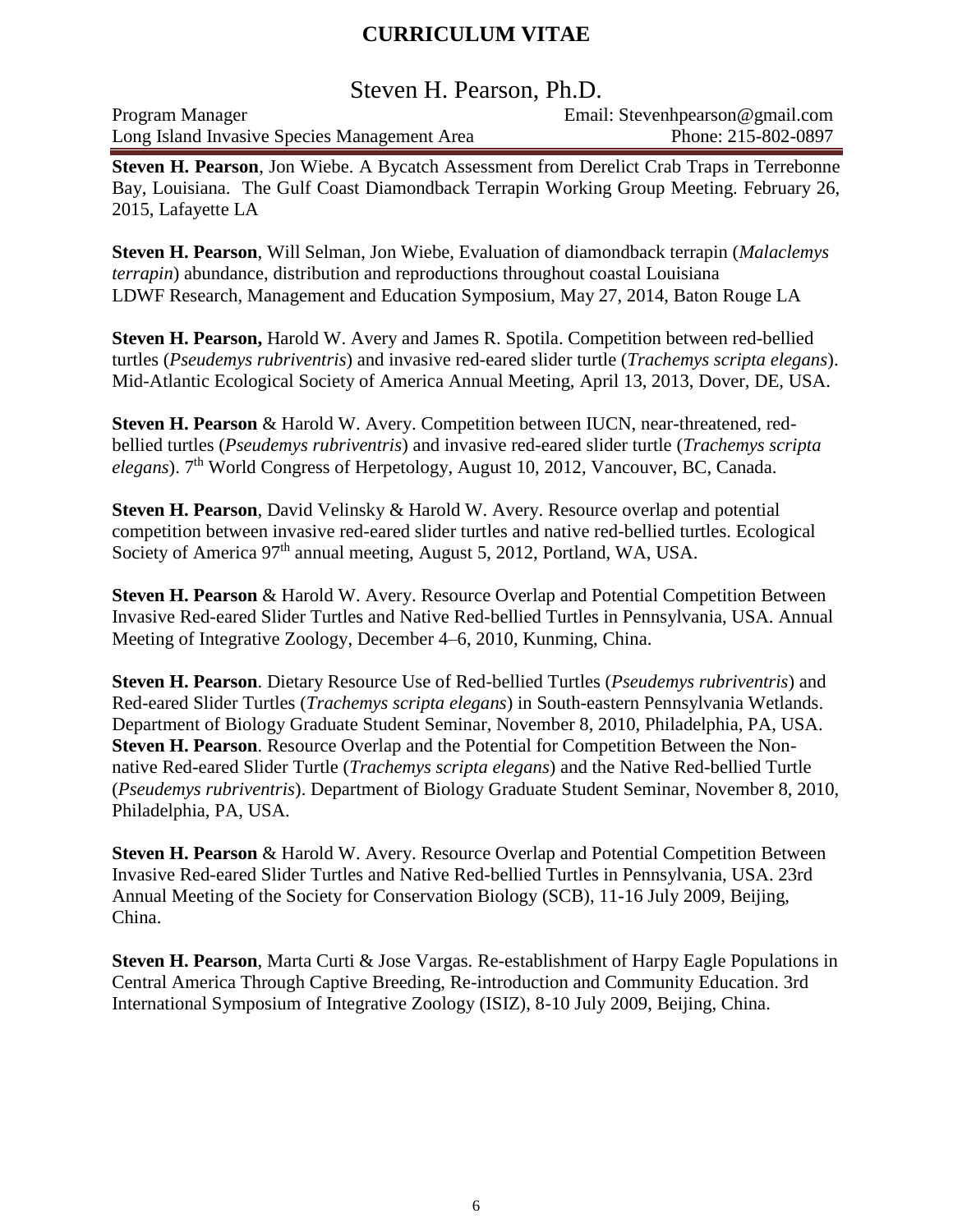### Steven H. Pearson, Ph.D.

| Program Manager                              | Email: Stevenhpearson@gmail.com |
|----------------------------------------------|---------------------------------|
| Long Island Invasive Species Management Area | Phone: 215-802-0897             |

**Steven H. Pearson**, Jon Wiebe. A Bycatch Assessment from Derelict Crab Traps in Terrebonne Bay, Louisiana. The Gulf Coast Diamondback Terrapin Working Group Meeting. February 26, 2015, Lafayette LA

**Steven H. Pearson**, Will Selman, Jon Wiebe, Evaluation of diamondback terrapin (*Malaclemys terrapin*) abundance, distribution and reproductions throughout coastal Louisiana LDWF Research, Management and Education Symposium, May 27, 2014, Baton Rouge LA

**Steven H. Pearson,** Harold W. Avery and James R. Spotila. Competition between red-bellied turtles (*Pseudemys rubriventris*) and invasive red-eared slider turtle (*Trachemys scripta elegans*). Mid-Atlantic Ecological Society of America Annual Meeting, April 13, 2013, Dover, DE, USA.

**Steven H. Pearson** & Harold W. Avery. Competition between IUCN, near-threatened, redbellied turtles (*Pseudemys rubriventris*) and invasive red-eared slider turtle (*Trachemys scripta elegans*). 7<sup>th</sup> World Congress of Herpetology, August 10, 2012, Vancouver, BC, Canada.

**Steven H. Pearson**, David Velinsky & Harold W. Avery. Resource overlap and potential competition between invasive red-eared slider turtles and native red-bellied turtles. Ecological Society of America 97<sup>th</sup> annual meeting, August 5, 2012, Portland, WA, USA.

**Steven H. Pearson** & Harold W. Avery. Resource Overlap and Potential Competition Between Invasive Red-eared Slider Turtles and Native Red-bellied Turtles in Pennsylvania, USA. Annual Meeting of Integrative Zoology, December 4–6, 2010, Kunming, China.

**Steven H. Pearson**. Dietary Resource Use of Red-bellied Turtles (*Pseudemys rubriventris*) and Red-eared Slider Turtles (*Trachemys scripta elegans*) in South-eastern Pennsylvania Wetlands. Department of Biology Graduate Student Seminar, November 8, 2010, Philadelphia, PA, USA. **Steven H. Pearson**. Resource Overlap and the Potential for Competition Between the Nonnative Red-eared Slider Turtle (*Trachemys scripta elegans*) and the Native Red-bellied Turtle (*Pseudemys rubriventris*). Department of Biology Graduate Student Seminar, November 8, 2010, Philadelphia, PA, USA.

**Steven H. Pearson** & Harold W. Avery. Resource Overlap and Potential Competition Between Invasive Red-eared Slider Turtles and Native Red-bellied Turtles in Pennsylvania, USA. 23rd Annual Meeting of the Society for Conservation Biology (SCB), 11-16 July 2009, Beijing, China.

**Steven H. Pearson**, Marta Curti & Jose Vargas. Re-establishment of Harpy Eagle Populations in Central America Through Captive Breeding, Re-introduction and Community Education. 3rd International Symposium of Integrative Zoology (ISIZ), 8-10 July 2009, Beijing, China.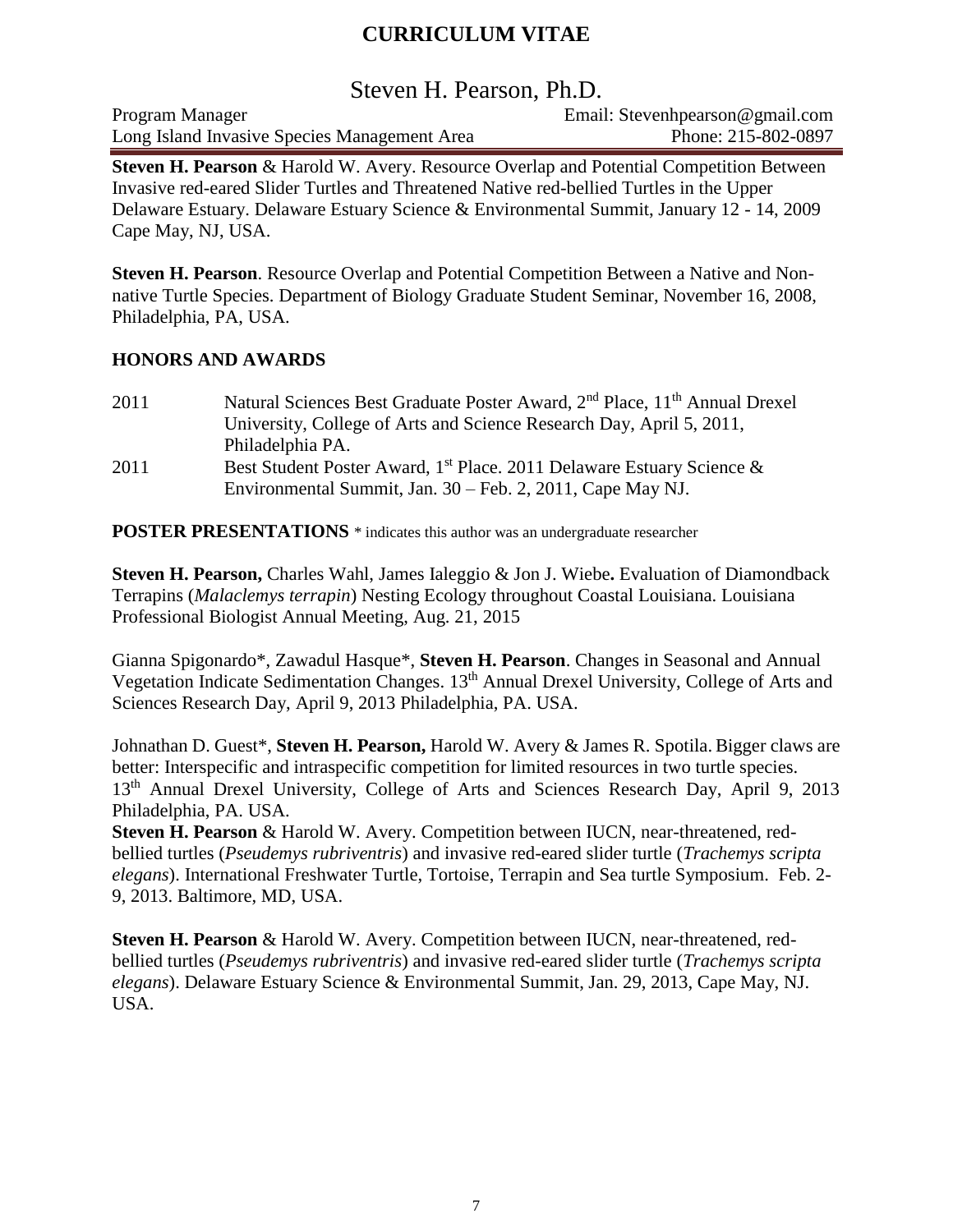## Steven H. Pearson, Ph.D.

Program Manager Email: Stevenhpearson@gmail.com Long Island Invasive Species Management Area Phone: 215-802-0897

**Steven H. Pearson** & Harold W. Avery. Resource Overlap and Potential Competition Between Invasive red-eared Slider Turtles and Threatened Native red-bellied Turtles in the Upper Delaware Estuary. Delaware Estuary Science & Environmental Summit, January 12 - 14, 2009 Cape May, NJ, USA.

**Steven H. Pearson**. Resource Overlap and Potential Competition Between a Native and Nonnative Turtle Species. Department of Biology Graduate Student Seminar, November 16, 2008, Philadelphia, PA, USA.

#### **HONORS AND AWARDS**

| 2011 | Natural Sciences Best Graduate Poster Award, 2 <sup>nd</sup> Place, 11 <sup>th</sup> Annual Drexel |
|------|----------------------------------------------------------------------------------------------------|
|      | University, College of Arts and Science Research Day, April 5, 2011,                               |
|      | Philadelphia PA.                                                                                   |
| 2011 | Best Student Poster Award, 1 <sup>st</sup> Place. 2011 Delaware Estuary Science &                  |
|      | Environmental Summit, Jan. 30 – Feb. 2, 2011, Cape May NJ.                                         |

**POSTER PRESENTATIONS** \* indicates this author was an undergraduate researcher

**Steven H. Pearson,** Charles Wahl, James Ialeggio & Jon J. Wiebe**.** Evaluation of Diamondback Terrapins (*Malaclemys terrapin*) Nesting Ecology throughout Coastal Louisiana. Louisiana Professional Biologist Annual Meeting, Aug. 21, 2015

Gianna Spigonardo\*, Zawadul Hasque\*, **Steven H. Pearson**. Changes in Seasonal and Annual Vegetation Indicate Sedimentation Changes. 13<sup>th</sup> Annual Drexel University, College of Arts and Sciences Research Day, April 9, 2013 Philadelphia, PA. USA.

Johnathan D. Guest\*, **Steven H. Pearson,** Harold W. Avery & James R. Spotila. Bigger claws are better: Interspecific and intraspecific competition for limited resources in two turtle species. 13<sup>th</sup> Annual Drexel University, College of Arts and Sciences Research Day, April 9, 2013 Philadelphia, PA. USA.

**Steven H. Pearson** & Harold W. Avery. Competition between IUCN, near-threatened, redbellied turtles (*Pseudemys rubriventris*) and invasive red-eared slider turtle (*Trachemys scripta elegans*). International Freshwater Turtle, Tortoise, Terrapin and Sea turtle Symposium. Feb. 2- 9, 2013. Baltimore, MD, USA.

**Steven H. Pearson** & Harold W. Avery. Competition between IUCN, near-threatened, redbellied turtles (*Pseudemys rubriventris*) and invasive red-eared slider turtle (*Trachemys scripta elegans*). Delaware Estuary Science & Environmental Summit, Jan. 29, 2013, Cape May, NJ. USA.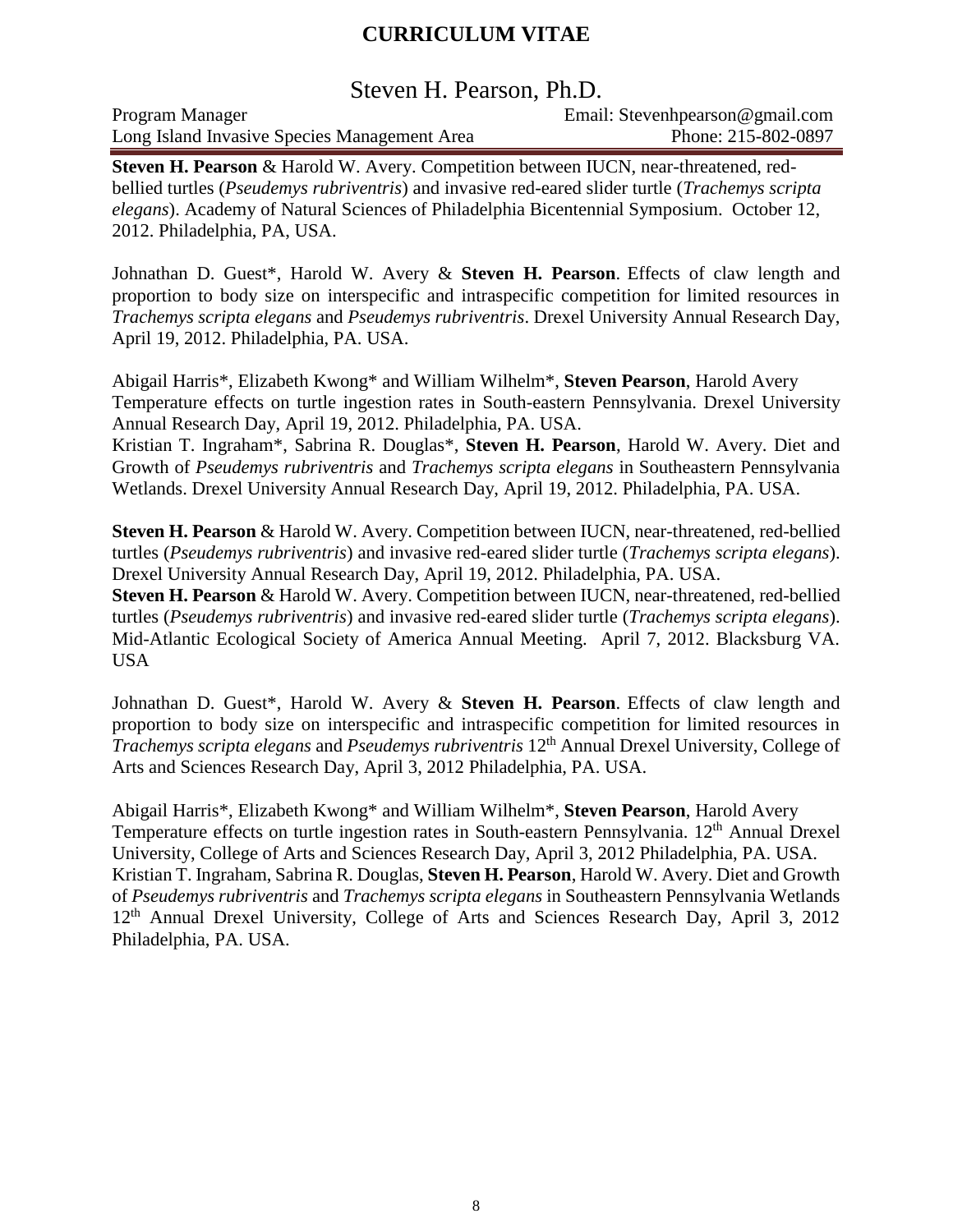#### Steven H. Pearson, Ph.D.

Program Manager Email: Stevenhpearson@gmail.com Long Island Invasive Species Management Area Phone: 215-802-0897

**Steven H. Pearson** & Harold W. Avery. Competition between IUCN, near-threatened, redbellied turtles (*Pseudemys rubriventris*) and invasive red-eared slider turtle (*Trachemys scripta elegans*). Academy of Natural Sciences of Philadelphia Bicentennial Symposium. October 12, 2012. Philadelphia, PA, USA.

Johnathan D. Guest\*, Harold W. Avery & **Steven H. Pearson**. Effects of claw length and proportion to body size on interspecific and intraspecific competition for limited resources in *Trachemys scripta elegans* and *Pseudemys rubriventris*. Drexel University Annual Research Day, April 19, 2012. Philadelphia, PA. USA.

Abigail Harris\*, Elizabeth Kwong\* and William Wilhelm\*, **Steven Pearson**, Harold Avery Temperature effects on turtle ingestion rates in South-eastern Pennsylvania. Drexel University Annual Research Day, April 19, 2012. Philadelphia, PA. USA.

Kristian T. Ingraham\*, Sabrina R. Douglas\*, **Steven H. Pearson**, Harold W. Avery. Diet and Growth of *Pseudemys rubriventris* and *Trachemys scripta elegans* in Southeastern Pennsylvania Wetlands. Drexel University Annual Research Day, April 19, 2012. Philadelphia, PA. USA.

**Steven H. Pearson** & Harold W. Avery. Competition between IUCN, near-threatened, red-bellied turtles (*Pseudemys rubriventris*) and invasive red-eared slider turtle (*Trachemys scripta elegans*). Drexel University Annual Research Day, April 19, 2012. Philadelphia, PA. USA.

**Steven H. Pearson** & Harold W. Avery. Competition between IUCN, near-threatened, red-bellied turtles (*Pseudemys rubriventris*) and invasive red-eared slider turtle (*Trachemys scripta elegans*). Mid-Atlantic Ecological Society of America Annual Meeting. April 7, 2012. Blacksburg VA. USA

Johnathan D. Guest\*, Harold W. Avery & **Steven H. Pearson**. Effects of claw length and proportion to body size on interspecific and intraspecific competition for limited resources in *Trachemys scripta elegans* and *Pseudemys rubriventris* 12<sup>th</sup> Annual Drexel University, College of Arts and Sciences Research Day, April 3, 2012 Philadelphia, PA. USA.

Abigail Harris\*, Elizabeth Kwong\* and William Wilhelm\*, **Steven Pearson**, Harold Avery Temperature effects on turtle ingestion rates in South-eastern Pennsylvania. 12<sup>th</sup> Annual Drexel University, College of Arts and Sciences Research Day, April 3, 2012 Philadelphia, PA. USA. Kristian T. Ingraham, Sabrina R. Douglas, **Steven H. Pearson**, Harold W. Avery. Diet and Growth of *Pseudemys rubriventris* and *Trachemys scripta elegans* in Southeastern Pennsylvania Wetlands 12<sup>th</sup> Annual Drexel University, College of Arts and Sciences Research Day, April 3, 2012 Philadelphia, PA. USA.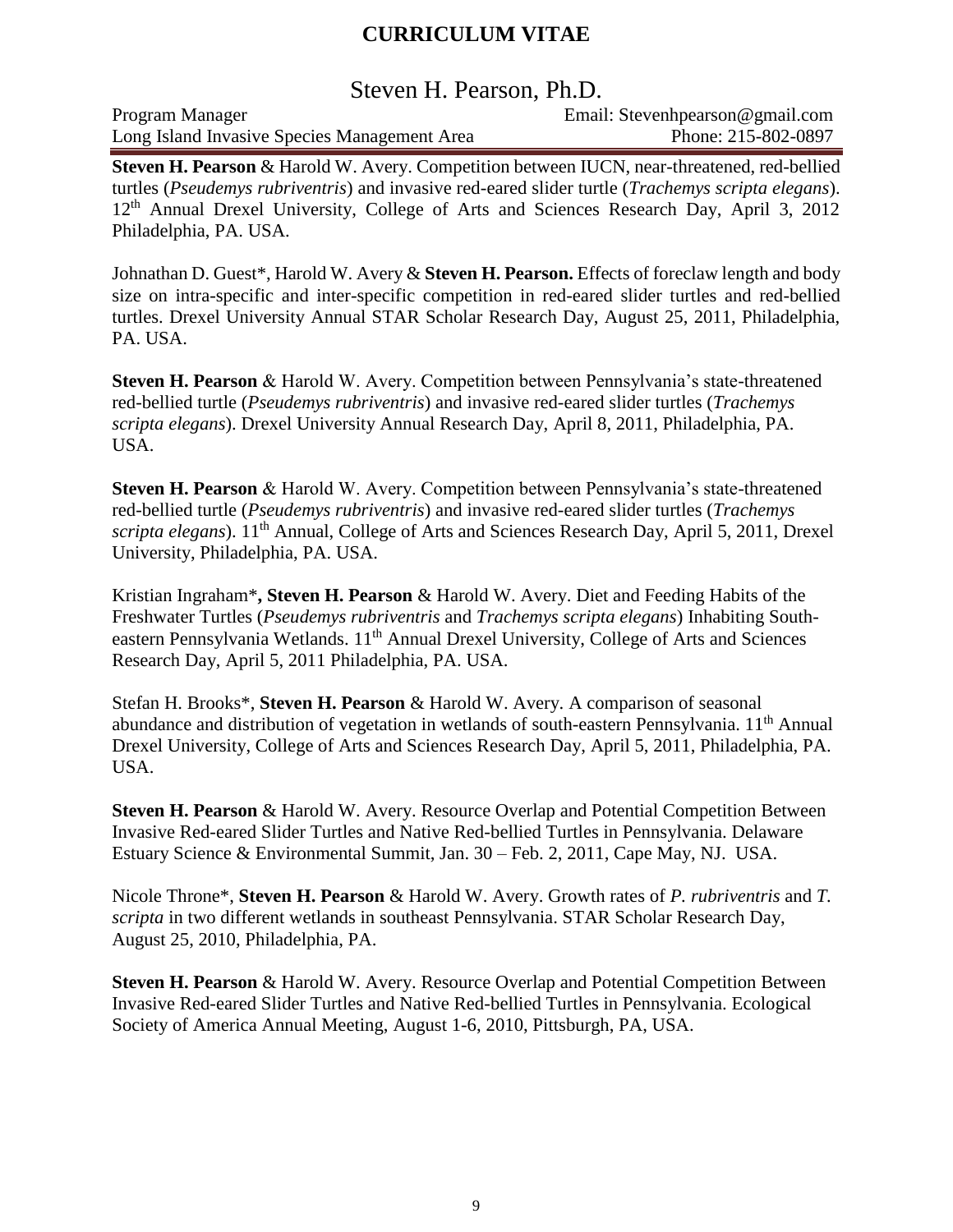#### Steven H. Pearson, Ph.D.

Program Manager Email: Stevenhpearson @gmail.com Long Island Invasive Species Management Area Phone: 215-802-0897

**Steven H. Pearson** & Harold W. Avery. Competition between IUCN, near-threatened, red-bellied turtles (*Pseudemys rubriventris*) and invasive red-eared slider turtle (*Trachemys scripta elegans*). 12<sup>th</sup> Annual Drexel University, College of Arts and Sciences Research Day, April 3, 2012 Philadelphia, PA. USA.

Johnathan D. Guest\*, Harold W. Avery & **Steven H. Pearson.** Effects of foreclaw length and body size on intra-specific and inter-specific competition in red-eared slider turtles and red-bellied turtles. Drexel University Annual STAR Scholar Research Day, August 25, 2011, Philadelphia, PA. USA.

**Steven H. Pearson** & Harold W. Avery. Competition between Pennsylvania's state-threatened red-bellied turtle (*Pseudemys rubriventris*) and invasive red-eared slider turtles (*Trachemys scripta elegans*). Drexel University Annual Research Day, April 8, 2011, Philadelphia, PA. USA.

**Steven H. Pearson** & Harold W. Avery. Competition between Pennsylvania's state-threatened red-bellied turtle (*Pseudemys rubriventris*) and invasive red-eared slider turtles (*Trachemys scripta elegans*). 11th Annual, College of Arts and Sciences Research Day, April 5, 2011, Drexel University, Philadelphia, PA. USA.

Kristian Ingraham\***, Steven H. Pearson** & Harold W. Avery. Diet and Feeding Habits of the Freshwater Turtles (*Pseudemys rubriventris* and *Trachemys scripta elegans*) Inhabiting Southeastern Pennsylvania Wetlands. 11<sup>th</sup> Annual Drexel University, College of Arts and Sciences Research Day, April 5, 2011 Philadelphia, PA. USA.

Stefan H. Brooks\*, **Steven H. Pearson** & Harold W. Avery. A comparison of seasonal abundance and distribution of vegetation in wetlands of south-eastern Pennsylvania. 11th Annual Drexel University, College of Arts and Sciences Research Day, April 5, 2011, Philadelphia, PA. USA.

**Steven H. Pearson** & Harold W. Avery. Resource Overlap and Potential Competition Between Invasive Red-eared Slider Turtles and Native Red-bellied Turtles in Pennsylvania. Delaware Estuary Science & Environmental Summit, Jan. 30 – Feb. 2, 2011, Cape May, NJ. USA.

Nicole Throne\*, **Steven H. Pearson** & Harold W. Avery. Growth rates of *P. rubriventris* and *T. scripta* in two different wetlands in southeast Pennsylvania. STAR Scholar Research Day, August 25, 2010, Philadelphia, PA.

**Steven H. Pearson** & Harold W. Avery. Resource Overlap and Potential Competition Between Invasive Red-eared Slider Turtles and Native Red-bellied Turtles in Pennsylvania. Ecological Society of America Annual Meeting, August 1-6, 2010, Pittsburgh, PA, USA.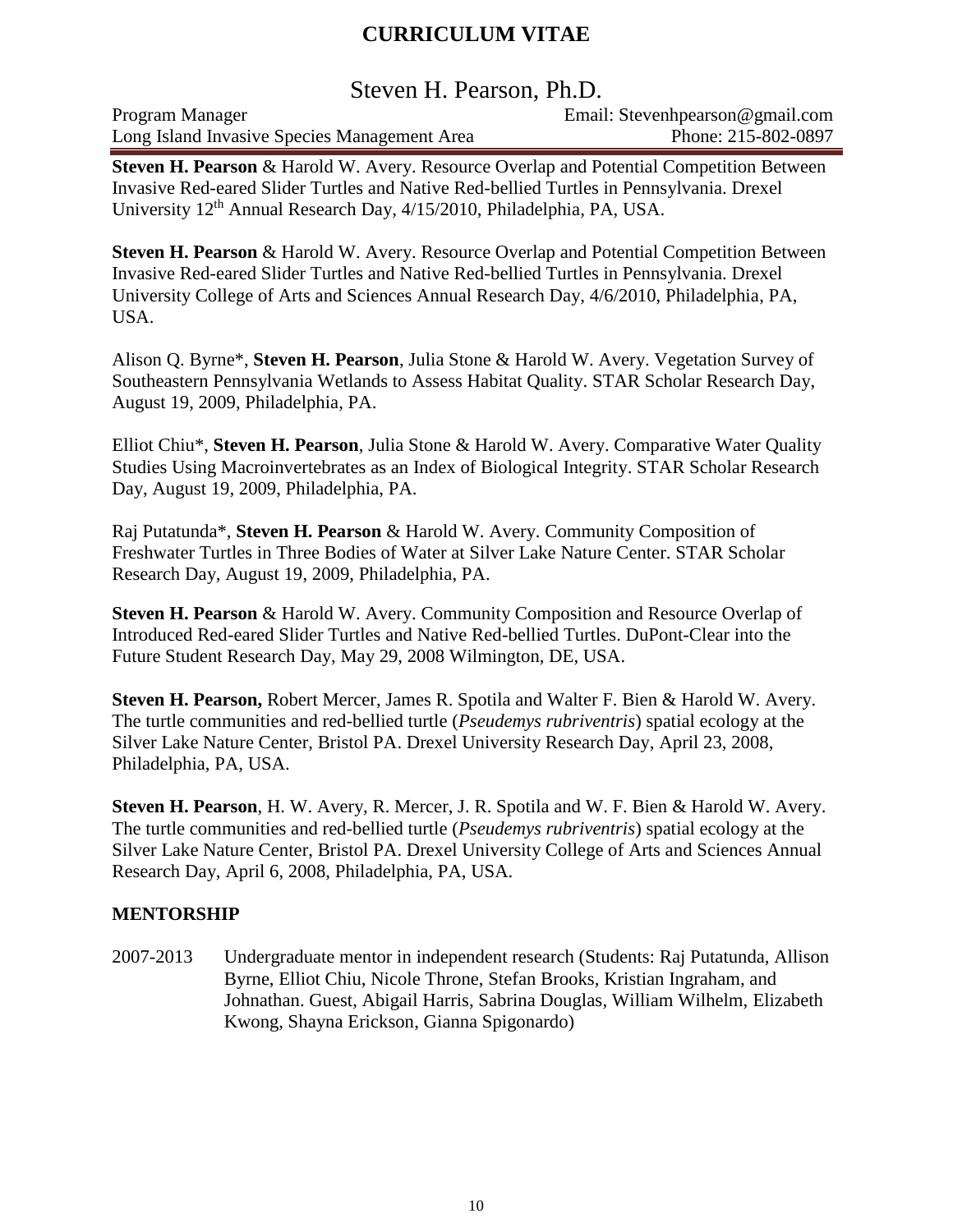## Steven H. Pearson, Ph.D.

Program Manager Email: Stevenhpearson@gmail.com Long Island Invasive Species Management Area Phone: 215-802-0897

**Steven H. Pearson** & Harold W. Avery. Resource Overlap and Potential Competition Between Invasive Red-eared Slider Turtles and Native Red-bellied Turtles in Pennsylvania. Drexel University 12th Annual Research Day, 4/15/2010, Philadelphia, PA, USA.

**Steven H. Pearson** & Harold W. Avery. Resource Overlap and Potential Competition Between Invasive Red-eared Slider Turtles and Native Red-bellied Turtles in Pennsylvania. Drexel University College of Arts and Sciences Annual Research Day, 4/6/2010, Philadelphia, PA, USA.

Alison Q. Byrne\*, **Steven H. Pearson**, Julia Stone & Harold W. Avery. Vegetation Survey of Southeastern Pennsylvania Wetlands to Assess Habitat Quality. STAR Scholar Research Day, August 19, 2009, Philadelphia, PA.

Elliot Chiu\*, **Steven H. Pearson**, Julia Stone & Harold W. Avery. Comparative Water Quality Studies Using Macroinvertebrates as an Index of Biological Integrity. STAR Scholar Research Day, August 19, 2009, Philadelphia, PA.

Raj Putatunda\*, **Steven H. Pearson** & Harold W. Avery. Community Composition of Freshwater Turtles in Three Bodies of Water at Silver Lake Nature Center. STAR Scholar Research Day, August 19, 2009, Philadelphia, PA.

**Steven H. Pearson** & Harold W. Avery. Community Composition and Resource Overlap of Introduced Red-eared Slider Turtles and Native Red-bellied Turtles. DuPont-Clear into the Future Student Research Day, May 29, 2008 Wilmington, DE, USA.

**Steven H. Pearson,** Robert Mercer, James R. Spotila and Walter F. Bien & Harold W. Avery. The turtle communities and red-bellied turtle (*Pseudemys rubriventris*) spatial ecology at the Silver Lake Nature Center, Bristol PA. Drexel University Research Day, April 23, 2008, Philadelphia, PA, USA.

**Steven H. Pearson**, H. W. Avery, R. Mercer, J. R. Spotila and W. F. Bien & Harold W. Avery. The turtle communities and red-bellied turtle (*Pseudemys rubriventris*) spatial ecology at the Silver Lake Nature Center, Bristol PA. Drexel University College of Arts and Sciences Annual Research Day, April 6, 2008, Philadelphia, PA, USA.

#### **MENTORSHIP**

2007-2013 Undergraduate mentor in independent research (Students: Raj Putatunda, Allison Byrne, Elliot Chiu, Nicole Throne, Stefan Brooks, Kristian Ingraham, and Johnathan. Guest, Abigail Harris, Sabrina Douglas, William Wilhelm, Elizabeth Kwong, Shayna Erickson, Gianna Spigonardo)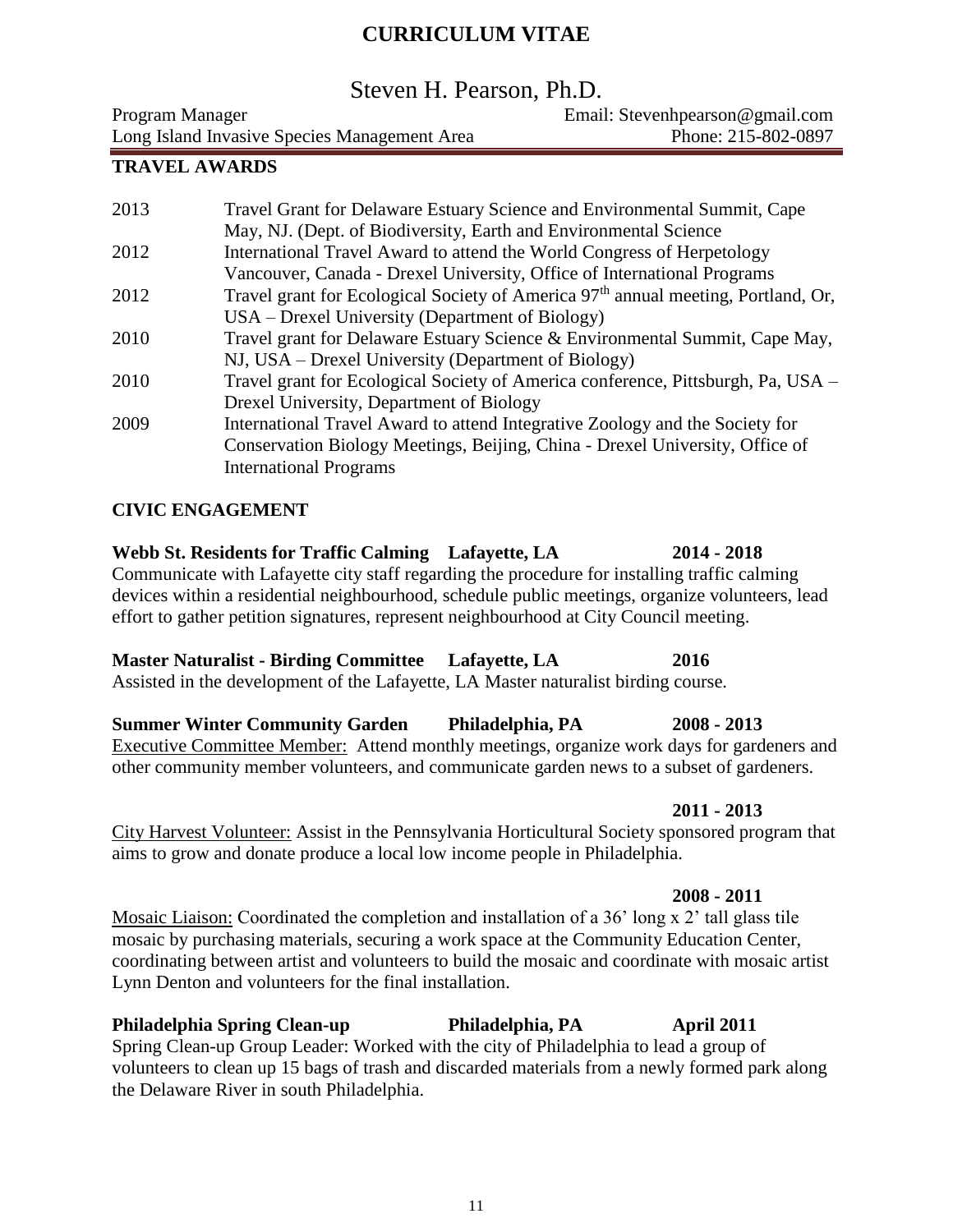## Steven H. Pearson, Ph.D.

| Program Manager                              | Email: Stevenhpearson@gmail.com |
|----------------------------------------------|---------------------------------|
| Long Island Invasive Species Management Area | Phone: 215-802-0897             |

#### **TRAVEL AWARDS**

| 2013 | Travel Grant for Delaware Estuary Science and Environmental Summit, Cape                      |
|------|-----------------------------------------------------------------------------------------------|
|      | May, NJ. (Dept. of Biodiversity, Earth and Environmental Science                              |
| 2012 | International Travel Award to attend the World Congress of Herpetology                        |
|      | Vancouver, Canada - Drexel University, Office of International Programs                       |
| 2012 | Travel grant for Ecological Society of America 97 <sup>th</sup> annual meeting, Portland, Or, |
|      | USA – Drexel University (Department of Biology)                                               |
| 2010 | Travel grant for Delaware Estuary Science & Environmental Summit, Cape May,                   |
|      | NJ, USA – Drexel University (Department of Biology)                                           |
| 2010 | Travel grant for Ecological Society of America conference, Pittsburgh, Pa, USA –              |
|      | Drexel University, Department of Biology                                                      |
| 2009 | International Travel Award to attend Integrative Zoology and the Society for                  |
|      | Conservation Biology Meetings, Beijing, China - Drexel University, Office of                  |
|      | <b>International Programs</b>                                                                 |

#### **CIVIC ENGAGEMENT**

**Webb St. Residents for Traffic Calming Lafayette, LA 2014 - 2018** Communicate with Lafayette city staff regarding the procedure for installing traffic calming devices within a residential neighbourhood, schedule public meetings, organize volunteers, lead effort to gather petition signatures, represent neighbourhood at City Council meeting.

#### **Master Naturalist - Birding Committee Lafayette, LA 2016**

Assisted in the development of the Lafayette, LA Master naturalist birding course.

**Summer Winter Community Garden Philadelphia, PA 2008 - 2013** Executive Committee Member: Attend monthly meetings, organize work days for gardeners and other community member volunteers, and communicate garden news to a subset of gardeners.

**2011 - 2013** City Harvest Volunteer: Assist in the Pennsylvania Horticultural Society sponsored program that aims to grow and donate produce a local low income people in Philadelphia.

**2008 - 2011** Mosaic Liaison: Coordinated the completion and installation of a 36' long x 2' tall glass tile mosaic by purchasing materials, securing a work space at the Community Education Center, coordinating between artist and volunteers to build the mosaic and coordinate with mosaic artist Lynn Denton and volunteers for the final installation.

#### **Philadelphia Spring Clean-up Philadelphia, PA April 2011**

Spring Clean-up Group Leader: Worked with the city of Philadelphia to lead a group of volunteers to clean up 15 bags of trash and discarded materials from a newly formed park along the Delaware River in south Philadelphia.